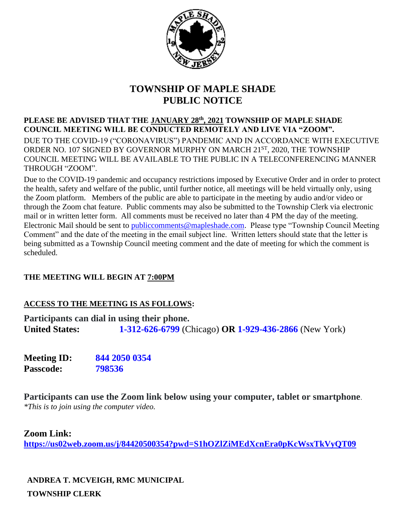

## **TOWNSHIP OF MAPLE SHADE PUBLIC NOTICE**

**PLEASE BE ADVISED THAT THE JANUARY 28th, 2021 TOWNSHIP OF MAPLE SHADE COUNCIL MEETING WILL BE CONDUCTED REMOTELY AND LIVE VIA "ZOOM".**  DUE TO THE COVID-19 ("CORONAVIRUS") PANDEMIC AND IN ACCORDANCE WITH EXECUTIVE ORDER NO. 107 SIGNED BY GOVERNOR MURPHY ON MARCH 21ST, 2020, THE TOWNSHIP COUNCIL MEETING WILL BE AVAILABLE TO THE PUBLIC IN A TELECONFERENCING MANNER THROUGH "ZOOM".

Due to the COVID-19 pandemic and occupancy restrictions imposed by Executive Order and in order to protect the health, safety and welfare of the public, until further notice, all meetings will be held virtually only, using the Zoom platform. Members of the public are able to participate in the meeting by audio and/or video or through the Zoom chat feature. Public comments may also be submitted to the Township Clerk via electronic mail or in written letter form. All comments must be received no later than 4 PM the day of the meeting. Electronic Mail should be sent to [publiccomments@mapleshade.com.](mailto:publiccomments@mapleshade.com) Please type "Township Council Meeting Comment" and the date of the meeting in the email subject line. Written letters should state that the letter is being submitted as a Township Council meeting comment and the date of meeting for which the comment is scheduled.

### **THE MEETING WILL BEGIN AT 7:00PM**

### **ACCESS TO THE MEETING IS AS FOLLOWS:**

**Participants can dial in using their phone. United States: 1-312-626-6799** (Chicago) **OR 1-929-436-2866** (New York)

**Meeting ID: 844 2050 0354 Passcode: 798536**

**Participants can use the Zoom link below using your computer, tablet or smartphone**. *\*This is to join using the computer video.*

**Zoom Link:**

**<https://us02web.zoom.us/j/84420500354?pwd=S1hOZlZiMEdXcnEra0pKcWsxTkVyQT09>**

**ANDREA T. MCVEIGH, RMC MUNICIPAL TOWNSHIP CLERK**